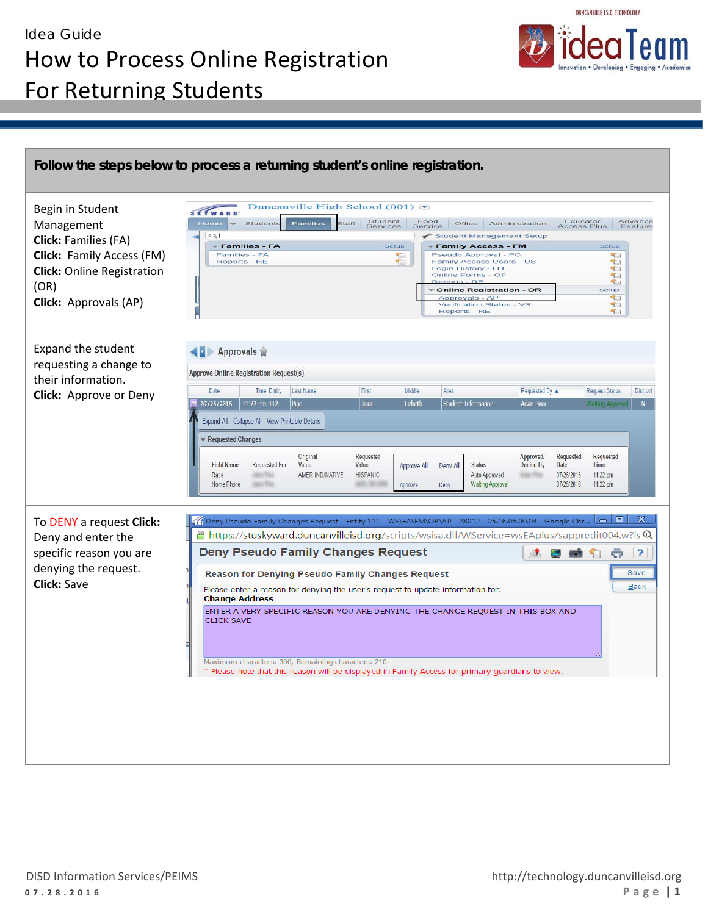

| Begin in Student<br>Management<br><b>Click: Families (FA)</b><br>Click: Family Access (FM)<br><b>Click:</b> Online Registration<br>(OR)<br>Click: Approvals (AP) | Duncanville High School $(001)$<br><b>SKYWARD</b><br>Student<br>Services<br>Educator<br>Access Plus<br>Advance<br>Food<br>Home<br>Student:<br>Families<br><b>Staff</b><br>Office<br>Administration<br>Feature:<br>Service<br>$\sim$<br>Student Management Setup<br>- Families - FA<br>Setup<br>Setup<br><b>Family Access - FM</b><br>Families - FA<br>$\mathbb{C}$<br>Pseudo Approval - PC<br>T.<br>$\Box$<br>Reports - RE<br>Family Access Users - US<br>T<br>Login History - LH<br>E<br>Online Forms - OF<br>t<br>T<br>Reports - RE<br><b>Online Registration - OR</b><br>Setup<br>$\tau$<br>Approvals - AP<br>Verification Status - VS<br>E<br>Reports - RE<br>t                                                                                                                                                                                      |
|------------------------------------------------------------------------------------------------------------------------------------------------------------------|----------------------------------------------------------------------------------------------------------------------------------------------------------------------------------------------------------------------------------------------------------------------------------------------------------------------------------------------------------------------------------------------------------------------------------------------------------------------------------------------------------------------------------------------------------------------------------------------------------------------------------------------------------------------------------------------------------------------------------------------------------------------------------------------------------------------------------------------------------|
| <b>Expand the student</b><br>requesting a change to<br>their information.<br>Click: Approve or Deny                                                              | ▶ Approvals 會<br>Approve Online Registration Request(s)<br>Middle<br><b>Time Entity</b><br>Last Name<br>First<br>Requested By ▲<br><b>Request Status</b><br>Dist Lvl<br>Date<br>Area<br>Lizbeth<br>  11:22 pm 112<br><b>Student Information</b><br><b>Adan Pino</b><br>07/26/2016<br>Pino<br>Jaira<br>Waiting Approval<br>Expand All Collapse All View Printable Details<br>Requested Changes<br>Original<br>Requested<br><b>Approved/</b><br>Requested<br>Requested<br><b>Field Name</b><br>Time<br><b>Requested For</b><br>Value<br>Value<br>Denied By<br>Date<br>Approve All<br>Deny All<br><b>Status</b><br><b>HISPANIC</b><br>Auto Approved<br>AMER IND/NATIVE<br><b>HALLMAN</b><br>07/26/2016<br>$11:22$ pm<br>Race<br><b><i>FREE FITTER</i></b><br><b>Waiting Approval</b><br>07/26/2016<br>11:22 pm<br>Home Phone<br>10117710<br>Approve<br>Deny |
| To DENY a request Click:<br>Deny and enter the<br>specific reason you are<br>denying the request.<br><b>Click: Save</b>                                          | x<br>$\circ$ 0<br>Deny Pseudo Family Changes Request - Entity 111 - WS\FA\FM\OR\AP - 28012 - 05.16.06.00.04 - Google Chr<br>& https://stuskyward.duncanvilleisd.org/scripts/wsisa.dll/WService=wsEAplus/sappredit004.w?is {\"ل<br><b>Deny Pseudo Family Changes Request</b><br>$\overline{\mathbf{?}}$<br>÷<br>压力<br>Reason for Denying Pseudo Family Changes Request<br><b>Save</b><br>Back<br>Please enter a reason for denying the user's request to update information for:<br><b>Change Address</b><br>ENTER A VERY SPECIFIC REASON YOU ARE DENYING THE CHANGE REQUEST IN THIS BOX AND<br><b>CLICK SAVE</b><br>Maximum characters: 300, Remaining characters: 210<br>* Please note that this reason will be displayed in Family Access for primary guardians to view.                                                                               |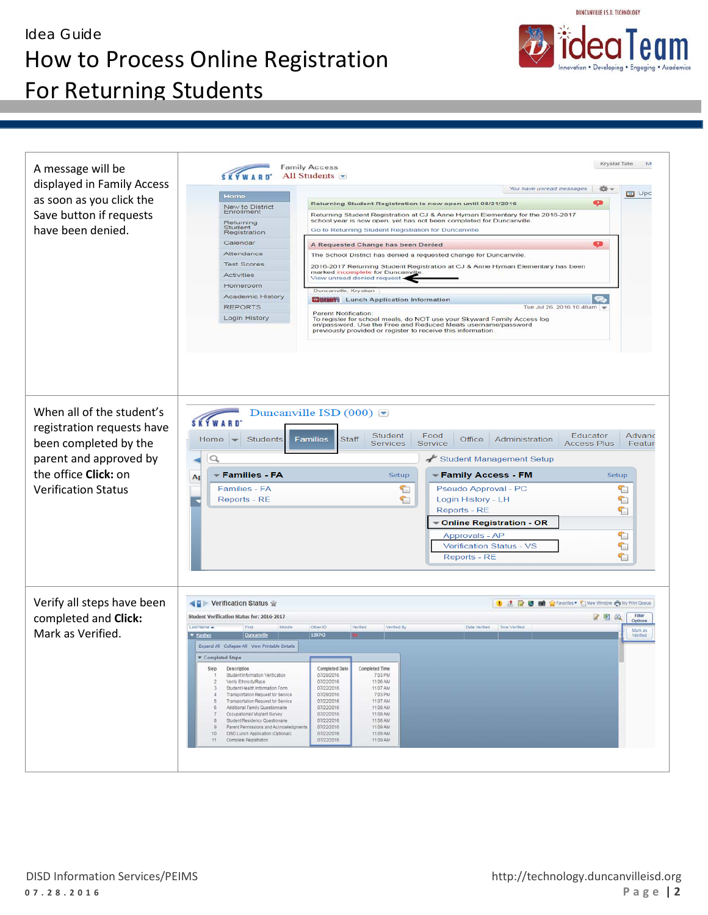## Idea Guide How to Process Online Registration For Returning Students

| A message will be                                       | Krystal Tate<br><b>Family Access</b><br>All Students $\blacksquare$                                                                                                       | M                   |
|---------------------------------------------------------|---------------------------------------------------------------------------------------------------------------------------------------------------------------------------|---------------------|
| displayed in Family Access                              | You have unread messages<br>祡                                                                                                                                             |                     |
| as soon as you click the                                | Home<br>œ<br>Returning Student Registration is now open until 08/21/2016                                                                                                  | <b>ED</b> Upc       |
| Save button if requests                                 | New to District<br>Enrollment<br>Returning Student Registration at CJ & Anne Hyman Elementary for the 2016-2017                                                           |                     |
|                                                         | school year is now open, yet has not been completed for Duncanville.<br>Returning                                                                                         |                     |
| have been denied.                                       | Student<br>Registration<br>Go to Returning Student Registration for Duncanville                                                                                           |                     |
|                                                         | Calendar<br>⊕<br>A Requested Change has been Denied                                                                                                                       |                     |
|                                                         | Attendance<br>The School District has denied a requested change for Duncanville.                                                                                          |                     |
|                                                         | <b>Test Scores</b><br>2016-2017 Returning Student Registration at CJ & Anne Hyman Elementary has been<br>marked incomplete for Duncanville<br><b>Activities</b>           |                     |
|                                                         | View unread denied request -<br>Homeroom                                                                                                                                  |                     |
|                                                         | Duncanville, Krystian<br><b>Academic History</b>                                                                                                                          |                     |
|                                                         | <b>William</b> Lunch Application Information<br><b>REPORTS</b><br>Tue Jul 26, 2016 10:48am                                                                                |                     |
|                                                         | <b>Parent Notification:</b><br>Login History<br>To register for school meals, do NOT use your Skyward Family Access log                                                   |                     |
|                                                         | on/password. Use the Free and Reduced Meals username/password<br>previously provided or register to receive this information.                                             |                     |
|                                                         |                                                                                                                                                                           |                     |
| When all of the student's<br>registration requests have | Duncanville ISD $(000)$<br><b>SKYWARD</b>                                                                                                                                 |                     |
| been completed by the                                   | Student<br>Food<br>Educator<br><b>Staff</b><br><b>Students</b><br>Office<br>Administration<br>Home<br><b>Families</b><br><b>Services</b><br>Service<br><b>Access Plus</b> | Advanc<br>Feature   |
|                                                         |                                                                                                                                                                           |                     |
| parent and approved by                                  | Student Management Setup<br>Q                                                                                                                                             |                     |
| the office Click: on                                    | <b>Families - FA</b><br><del>▼</del> Family Access - FM<br>Setup<br>Setup<br>Ap                                                                                           |                     |
| <b>Verification Status</b>                              | Families - FA<br>Pseudo Approval - PC<br>₠<br>☜                                                                                                                           |                     |
|                                                         | Login History - LH<br>Reports - RE<br>₠<br>ข                                                                                                                              |                     |
|                                                         | Reports - RE<br>☜                                                                                                                                                         |                     |
|                                                         | <b>Online Registration - OR</b>                                                                                                                                           |                     |
|                                                         |                                                                                                                                                                           |                     |
|                                                         | Approvals - AP                                                                                                                                                            |                     |
|                                                         | ₠<br>₠<br><b>Verification Status - VS</b>                                                                                                                                 |                     |
|                                                         | €<br><b>Reports - RE</b>                                                                                                                                                  |                     |
|                                                         |                                                                                                                                                                           |                     |
| Verify all steps have been                              | <b>D</b> A R B <b>M</b> C Favorites <b>C</b> New Window C My Print Queue<br>Verification Status                                                                           |                     |
| completed and Click:                                    | Student Verification Status for: 2016-2017<br>79<br>Lost Name -                                                                                                           | Filter<br>Options   |
|                                                         | First<br>Middle<br>Other ID<br>Verified<br><b>Verified By</b><br>Time Verified<br>139742<br><b>Duncariy</b><br><b><i>v</i></b> Panther                                    | Mark as<br>Verified |
|                                                         | Expand All Collapse All View Printable Details                                                                                                                            |                     |
|                                                         | * Completed Steps                                                                                                                                                         |                     |
|                                                         | Step<br><b>Deacription</b><br>Completed Date<br>NETECI EITTRE                                                                                                             |                     |
|                                                         | Student Information Verification<br>07/28/2016<br>7:03 PM<br>$\mathcal{L}$<br>07/22/2016<br>11:06 AM<br>Verify Ethnicity/Race<br>$\overline{2}$                           |                     |
|                                                         | 07/22/2016<br>11:07 AM<br>$\mathfrak{Z}$<br>Student Health Information Form                                                                                               |                     |
|                                                         | Transportation Request for Service<br>07/28/2016<br>7:03 PM<br>4.<br>07/22/2016<br>11:07 AM<br>$-5$<br>Transportation Request for Service                                 |                     |
| Mark as Verified.                                       | 07/22/2016<br>11:08 AM<br>Additional Family Questionnaire<br>6                                                                                                            |                     |
|                                                         | 07/22/2016<br>11:08 AM<br>Occupational/ Migrant Survey<br>Student Residency Questionaire<br>07/22/2016<br>11:08 AM                                                        |                     |
|                                                         | 07/22/2016<br>11:09 AM<br>Parent Permissions and Acknowledgments<br>10<br>DISD Lunch Application (Optional)<br>07/22/2016<br>11:09 AM                                     |                     |
|                                                         | 07/22/2016<br>11:09 AM<br>11.<br>Complete Registration                                                                                                                    |                     |

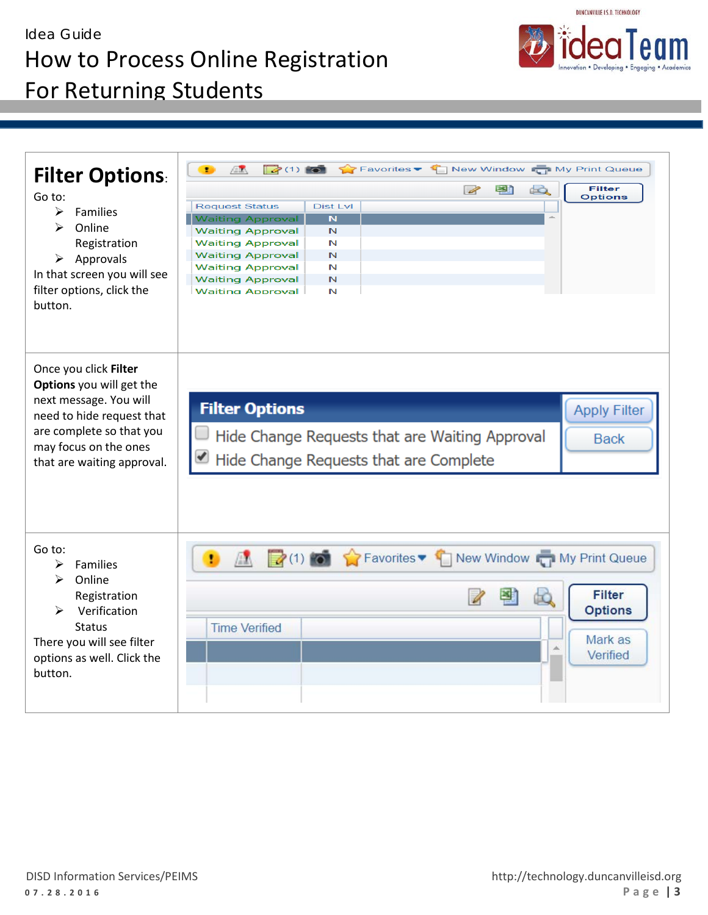## Idea Guide How to Process Online Registration



For Returning Students

| <b>Filter Options:</b><br>Go to:<br>Families<br>⋗<br>⋗<br>Online<br>Registration<br>$\triangleright$ Approvals<br>In that screen you will see<br>filter options, click the<br>button.       | $\rightarrow$ (1) $\rightarrow$<br>Favorites • T New Window T My Print Queue<br>Æ.<br>至れ<br><b>Filter</b><br>do.<br>$\overline{\mathscr{L}}$<br><b>Options</b><br><b>Dist Lvl</b><br><b>Request Status</b><br>$\overline{\mathbf{N}}$<br><b>Waiting Approval</b><br>$\mathbb N$<br><b>Waiting Approval</b><br><b>Waiting Approval</b><br>N<br>N<br><b>Waiting Approval</b><br>N<br><b>Waiting Approval</b><br>$\mathbb{N}$<br><b>Waiting Approval</b><br><b>Waiting Approval</b><br>N |
|---------------------------------------------------------------------------------------------------------------------------------------------------------------------------------------------|---------------------------------------------------------------------------------------------------------------------------------------------------------------------------------------------------------------------------------------------------------------------------------------------------------------------------------------------------------------------------------------------------------------------------------------------------------------------------------------|
| Once you click Filter<br>Options you will get the<br>next message. You will<br>need to hide request that<br>are complete so that you<br>may focus on the ones<br>that are waiting approval. | <b>Filter Options</b><br><b>Apply Filter</b><br>Hide Change Requests that are Waiting Approval<br><b>Back</b><br>Hide Change Requests that are Complete                                                                                                                                                                                                                                                                                                                               |
| Go to:<br>Families<br>➤<br>Online<br>⋗<br>Registration<br>Verification<br>➤<br><b>Status</b><br>There you will see filter<br>options as well. Click the<br>button.                          | A My Print Queue<br>ŧ<br><b>Filter</b><br><b>Options</b><br><b>Time Verified</b><br>Mark as<br>Verified                                                                                                                                                                                                                                                                                                                                                                               |